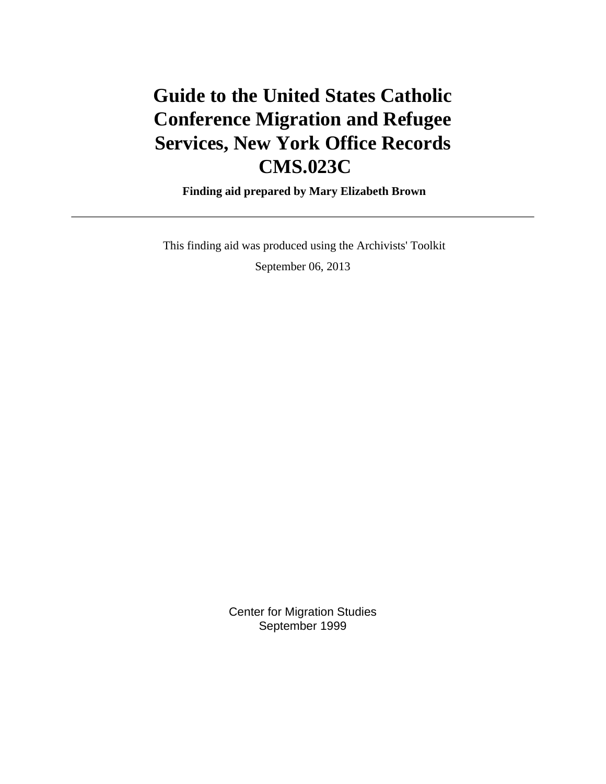# **Guide to the United States Catholic Conference Migration and Refugee Services, New York Office Records CMS.023C**

 **Finding aid prepared by Mary Elizabeth Brown**

 This finding aid was produced using the Archivists' Toolkit September 06, 2013

> Center for Migration Studies September 1999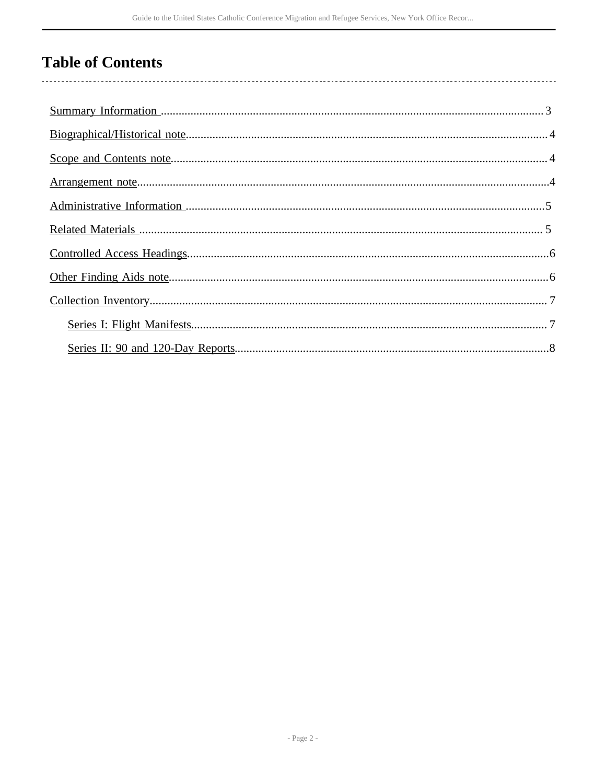# **Table of Contents**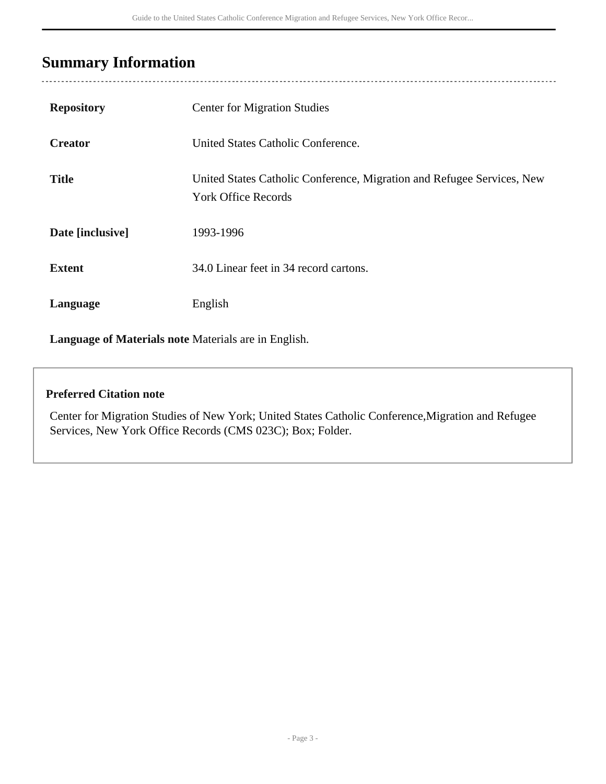# <span id="page-2-0"></span>**Summary Information**

| <b>Repository</b> | <b>Center for Migration Studies</b>                                                                  |
|-------------------|------------------------------------------------------------------------------------------------------|
| <b>Creator</b>    | United States Catholic Conference.                                                                   |
| <b>Title</b>      | United States Catholic Conference, Migration and Refugee Services, New<br><b>York Office Records</b> |
| Date [inclusive]  | 1993-1996                                                                                            |
| <b>Extent</b>     | 34.0 Linear feet in 34 record cartons.                                                               |
| Language          | English                                                                                              |
|                   |                                                                                                      |

**Language of Materials note** Materials are in English.

#### **Preferred Citation note**

Center for Migration Studies of New York; United States Catholic Conference,Migration and Refugee Services, New York Office Records (CMS 023C); Box; Folder.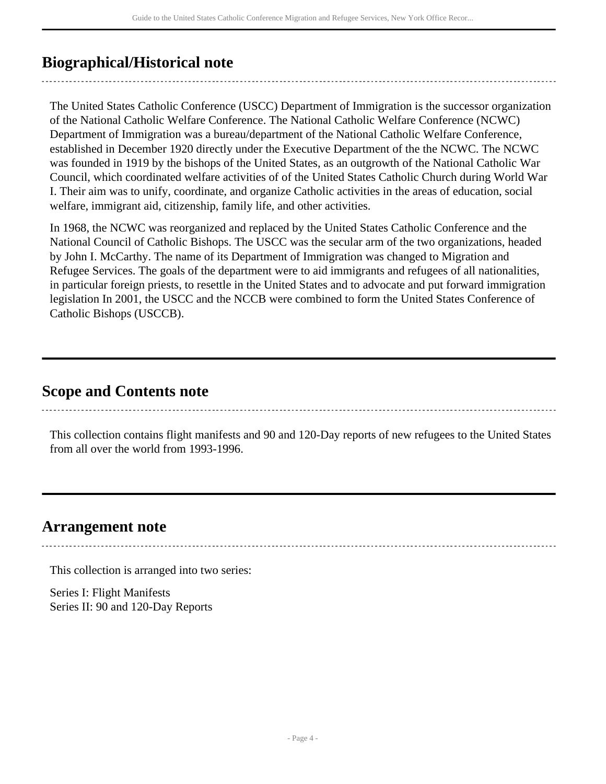# <span id="page-3-0"></span>**Biographical/Historical note**

The United States Catholic Conference (USCC) Department of Immigration is the successor organization of the National Catholic Welfare Conference. The National Catholic Welfare Conference (NCWC) Department of Immigration was a bureau/department of the National Catholic Welfare Conference, established in December 1920 directly under the Executive Department of the the NCWC. The NCWC was founded in 1919 by the bishops of the United States, as an outgrowth of the National Catholic War Council, which coordinated welfare activities of of the United States Catholic Church during World War I. Their aim was to unify, coordinate, and organize Catholic activities in the areas of education, social welfare, immigrant aid, citizenship, family life, and other activities.

In 1968, the NCWC was reorganized and replaced by the United States Catholic Conference and the National Council of Catholic Bishops. The USCC was the secular arm of the two organizations, headed by John I. McCarthy. The name of its Department of Immigration was changed to Migration and Refugee Services. The goals of the department were to aid immigrants and refugees of all nationalities, in particular foreign priests, to resettle in the United States and to advocate and put forward immigration legislation In 2001, the USCC and the NCCB were combined to form the United States Conference of Catholic Bishops (USCCB).

### <span id="page-3-1"></span>**Scope and Contents note**

This collection contains flight manifests and 90 and 120-Day reports of new refugees to the United States from all over the world from 1993-1996.

### <span id="page-3-2"></span>**Arrangement note**

This collection is arranged into two series:

Series I: Flight Manifests Series II: 90 and 120-Day Reports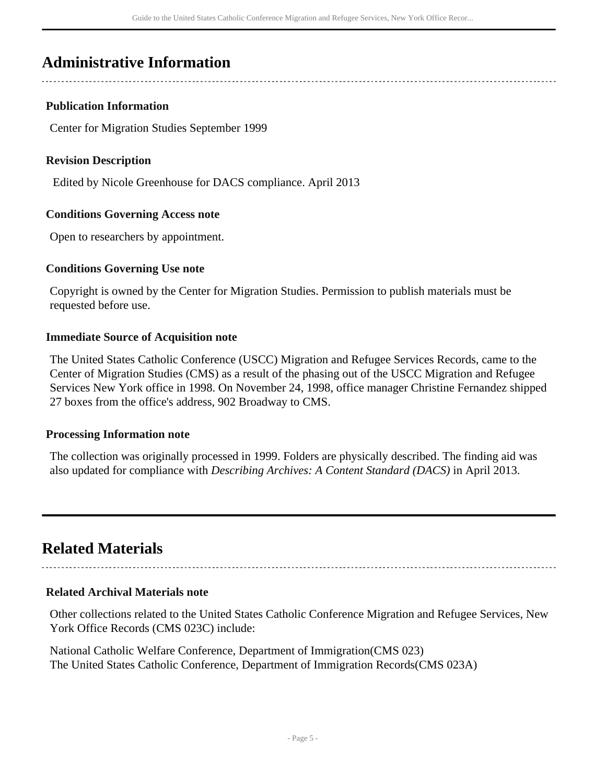# <span id="page-4-0"></span>**Administrative Information**

#### **Publication Information**

Center for Migration Studies September 1999

#### **Revision Description**

Edited by Nicole Greenhouse for DACS compliance. April 2013

#### **Conditions Governing Access note**

Open to researchers by appointment.

#### **Conditions Governing Use note**

Copyright is owned by the Center for Migration Studies. Permission to publish materials must be requested before use.

#### **Immediate Source of Acquisition note**

The United States Catholic Conference (USCC) Migration and Refugee Services Records, came to the Center of Migration Studies (CMS) as a result of the phasing out of the USCC Migration and Refugee Services New York office in 1998. On November 24, 1998, office manager Christine Fernandez shipped 27 boxes from the office's address, 902 Broadway to CMS.

#### **Processing Information note**

The collection was originally processed in 1999. Folders are physically described. The finding aid was also updated for compliance with *Describing Archives: A Content Standard (DACS)* in April 2013.

### <span id="page-4-1"></span>**Related Materials**

#### **Related Archival Materials note**

Other collections related to the United States Catholic Conference Migration and Refugee Services, New York Office Records (CMS 023C) include:

National Catholic Welfare Conference, Department of Immigration(CMS 023) The United States Catholic Conference, Department of Immigration Records(CMS 023A)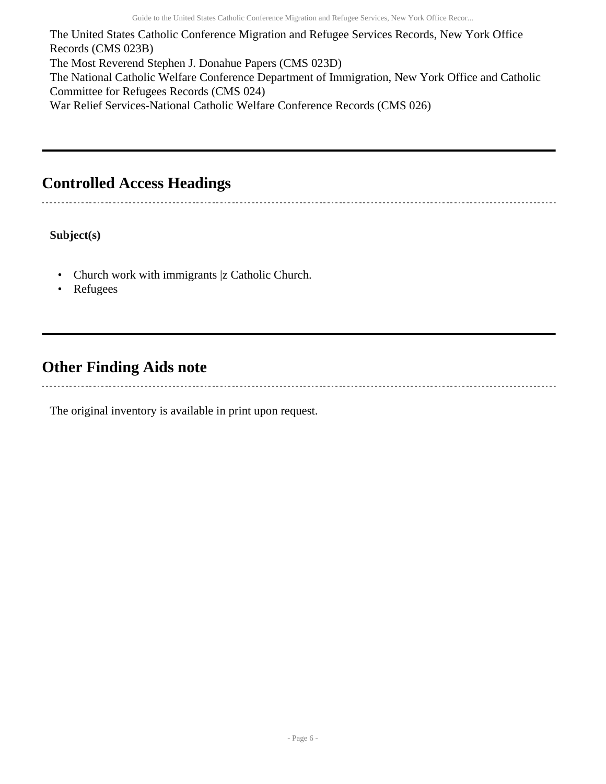The United States Catholic Conference Migration and Refugee Services Records, New York Office Records (CMS 023B) The Most Reverend Stephen J. Donahue Papers (CMS 023D) The National Catholic Welfare Conference Department of Immigration, New York Office and Catholic Committee for Refugees Records (CMS 024) War Relief Services-National Catholic Welfare Conference Records (CMS 026)

# <span id="page-5-0"></span>**Controlled Access Headings**

**Subject(s)**

- Church work with immigrants |z Catholic Church.
- Refugees

# <span id="page-5-1"></span>**Other Finding Aids note**

The original inventory is available in print upon request.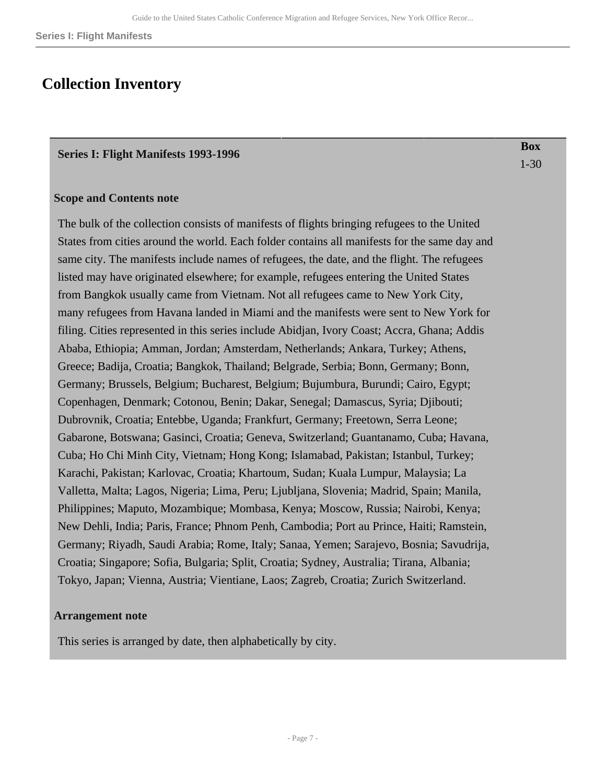### <span id="page-6-0"></span>**Collection Inventory**

#### <span id="page-6-1"></span>**Series I: Flight Manifests 1993-1996**

**Box** 1-30

#### **Scope and Contents note**

The bulk of the collection consists of manifests of flights bringing refugees to the United States from cities around the world. Each folder contains all manifests for the same day and same city. The manifests include names of refugees, the date, and the flight. The refugees listed may have originated elsewhere; for example, refugees entering the United States from Bangkok usually came from Vietnam. Not all refugees came to New York City, many refugees from Havana landed in Miami and the manifests were sent to New York for filing. Cities represented in this series include Abidjan, Ivory Coast; Accra, Ghana; Addis Ababa, Ethiopia; Amman, Jordan; Amsterdam, Netherlands; Ankara, Turkey; Athens, Greece; Badija, Croatia; Bangkok, Thailand; Belgrade, Serbia; Bonn, Germany; Bonn, Germany; Brussels, Belgium; Bucharest, Belgium; Bujumbura, Burundi; Cairo, Egypt; Copenhagen, Denmark; Cotonou, Benin; Dakar, Senegal; Damascus, Syria; Djibouti; Dubrovnik, Croatia; Entebbe, Uganda; Frankfurt, Germany; Freetown, Serra Leone; Gabarone, Botswana; Gasinci, Croatia; Geneva, Switzerland; Guantanamo, Cuba; Havana, Cuba; Ho Chi Minh City, Vietnam; Hong Kong; Islamabad, Pakistan; Istanbul, Turkey; Karachi, Pakistan; Karlovac, Croatia; Khartoum, Sudan; Kuala Lumpur, Malaysia; La Valletta, Malta; Lagos, Nigeria; Lima, Peru; Ljubljana, Slovenia; Madrid, Spain; Manila, Philippines; Maputo, Mozambique; Mombasa, Kenya; Moscow, Russia; Nairobi, Kenya; New Dehli, India; Paris, France; Phnom Penh, Cambodia; Port au Prince, Haiti; Ramstein, Germany; Riyadh, Saudi Arabia; Rome, Italy; Sanaa, Yemen; Sarajevo, Bosnia; Savudrija, Croatia; Singapore; Sofia, Bulgaria; Split, Croatia; Sydney, Australia; Tirana, Albania; Tokyo, Japan; Vienna, Austria; Vientiane, Laos; Zagreb, Croatia; Zurich Switzerland.

#### **Arrangement note**

This series is arranged by date, then alphabetically by city.